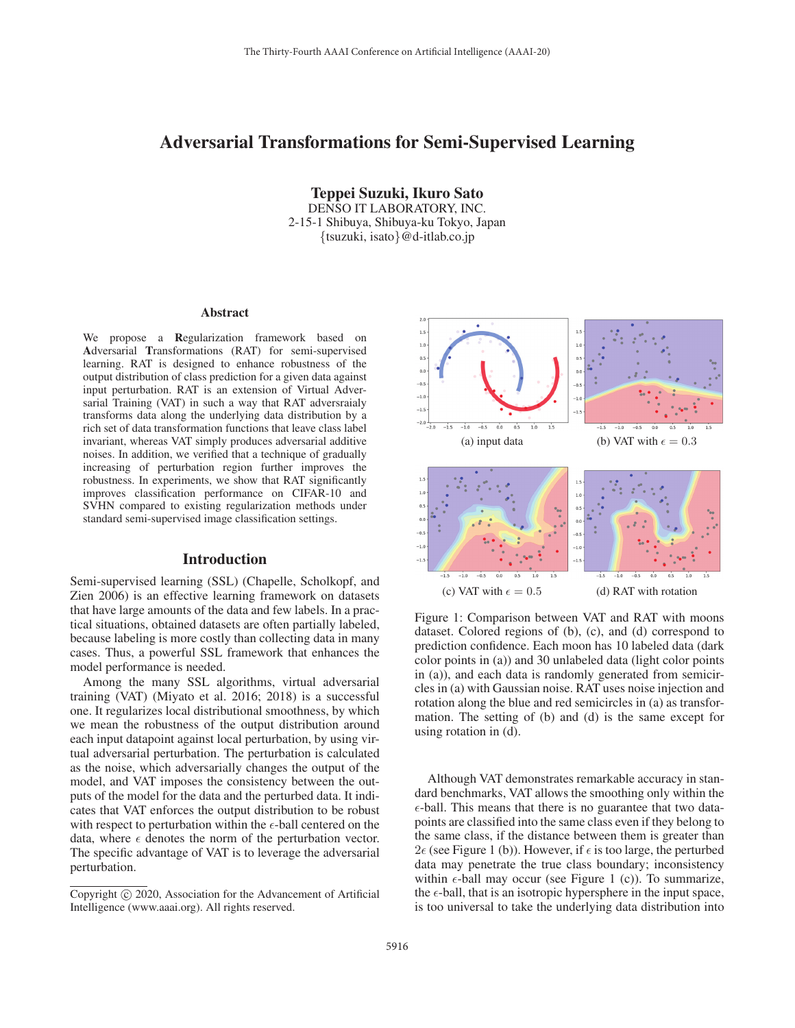## Adversarial Transformations for Semi-Supervised Learning

Teppei Suzuki, Ikuro Sato DENSO IT LABORATORY, INC. 2-15-1 Shibuya, Shibuya-ku Tokyo, Japan {tsuzuki, isato}@d-itlab.co.jp

#### **Abstract**

We propose a Regularization framework based on Adversarial Transformations (RAT) for semi-supervised learning. RAT is designed to enhance robustness of the output distribution of class prediction for a given data against input perturbation. RAT is an extension of Virtual Adversarial Training (VAT) in such a way that RAT adversraialy transforms data along the underlying data distribution by a rich set of data transformation functions that leave class label invariant, whereas VAT simply produces adversarial additive noises. In addition, we verified that a technique of gradually increasing of perturbation region further improves the robustness. In experiments, we show that RAT significantly improves classification performance on CIFAR-10 and SVHN compared to existing regularization methods under standard semi-supervised image classification settings.

## Introduction

Semi-supervised learning (SSL) (Chapelle, Scholkopf, and Zien 2006) is an effective learning framework on datasets that have large amounts of the data and few labels. In a practical situations, obtained datasets are often partially labeled, because labeling is more costly than collecting data in many cases. Thus, a powerful SSL framework that enhances the model performance is needed.

Among the many SSL algorithms, virtual adversarial training (VAT) (Miyato et al. 2016; 2018) is a successful one. It regularizes local distributional smoothness, by which we mean the robustness of the output distribution around each input datapoint against local perturbation, by using virtual adversarial perturbation. The perturbation is calculated as the noise, which adversarially changes the output of the model, and VAT imposes the consistency between the outputs of the model for the data and the perturbed data. It indicates that VAT enforces the output distribution to be robust with respect to perturbation within the  $\epsilon$ -ball centered on the data, where  $\epsilon$  denotes the norm of the perturbation vector. The specific advantage of VAT is to leverage the adversarial perturbation.



Figure 1: Comparison between VAT and RAT with moons dataset. Colored regions of (b), (c), and (d) correspond to prediction confidence. Each moon has 10 labeled data (dark color points in (a)) and 30 unlabeled data (light color points in (a)), and each data is randomly generated from semicircles in (a) with Gaussian noise. RAT uses noise injection and rotation along the blue and red semicircles in (a) as transformation. The setting of (b) and (d) is the same except for using rotation in (d).

Although VAT demonstrates remarkable accuracy in standard benchmarks, VAT allows the smoothing only within the  $\epsilon$ -ball. This means that there is no guarantee that two datapoints are classified into the same class even if they belong to the same class, if the distance between them is greater than  $2\epsilon$  (see Figure 1 (b)). However, if  $\epsilon$  is too large, the perturbed data may penetrate the true class boundary: inconsistency data may penetrate the true class boundary; inconsistency within  $\epsilon$ -ball may occur (see Figure 1 (c)). To summarize, the  $\epsilon$ -ball, that is an isotropic hypersphere in the input space, is too universal to take the underlying data distribution into

Copyright  $\odot$  2020, Association for the Advancement of Artificial Intelligence (www.aaai.org). All rights reserved.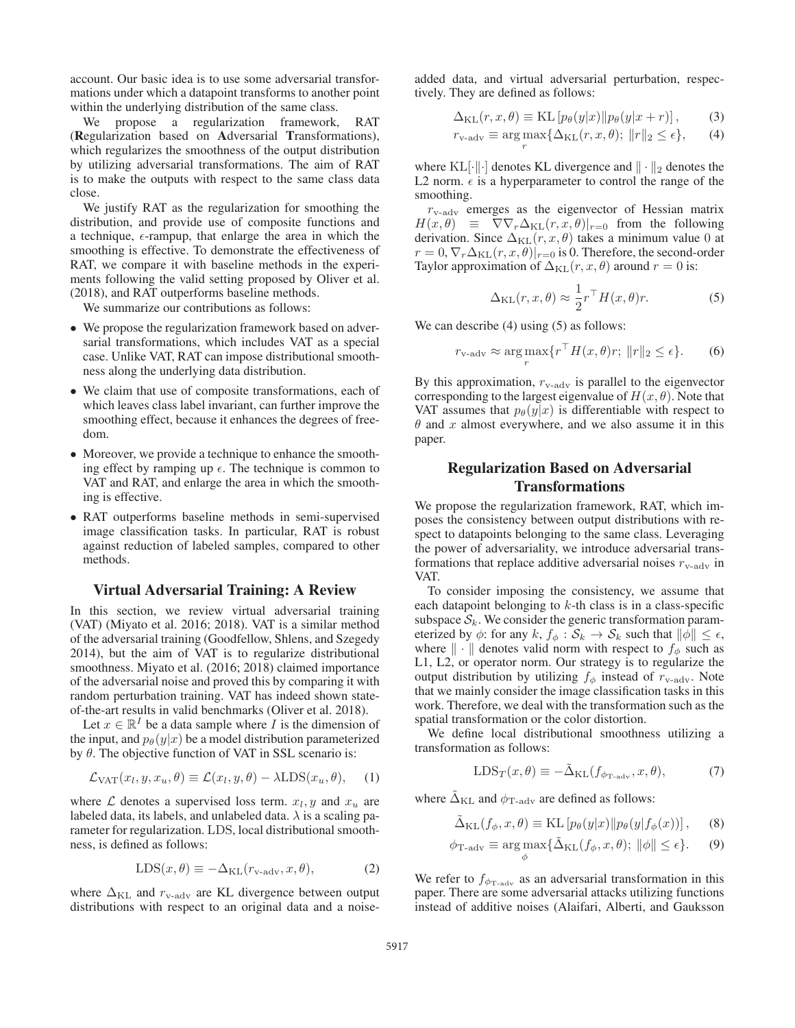account. Our basic idea is to use some adversarial transformations under which a datapoint transforms to another point within the underlying distribution of the same class.

We propose a regularization framework, RAT (Regularization based on Adversarial Transformations), which regularizes the smoothness of the output distribution by utilizing adversarial transformations. The aim of RAT is to make the outputs with respect to the same class data close.

We justify RAT as the regularization for smoothing the distribution, and provide use of composite functions and a technique,  $\epsilon$ -rampup, that enlarge the area in which the smoothing is effective. To demonstrate the effectiveness of RAT, we compare it with baseline methods in the experiments following the valid setting proposed by Oliver et al. (2018), and RAT outperforms baseline methods.

We summarize our contributions as follows:

- We propose the regularization framework based on adversarial transformations, which includes VAT as a special case. Unlike VAT, RAT can impose distributional smoothness along the underlying data distribution.
- We claim that use of composite transformations, each of which leaves class label invariant, can further improve the smoothing effect, because it enhances the degrees of freedom.
- Moreover, we provide a technique to enhance the smoothing effect by ramping up  $\epsilon$ . The technique is common to VAT and RAT, and enlarge the area in which the smoothing is effective.
- RAT outperforms baseline methods in semi-supervised image classification tasks. In particular, RAT is robust against reduction of labeled samples, compared to other methods.

## Virtual Adversarial Training: A Review

In this section, we review virtual adversarial training (VAT) (Miyato et al. 2016; 2018). VAT is a similar method of the adversarial training (Goodfellow, Shlens, and Szegedy 2014), but the aim of VAT is to regularize distributional smoothness. Miyato et al. (2016; 2018) claimed importance of the adversarial noise and proved this by comparing it with random perturbation training. VAT has indeed shown stateof-the-art results in valid benchmarks (Oliver et al. 2018).

Let  $x \in \mathbb{R}^I$  be a data sample where I is the dimension of the input, and  $p_{\theta}(y|x)$  be a model distribution parameterized by  $\theta$ . The objective function of VAT in SSL scenario is:

$$
\mathcal{L}_{\text{VAT}}(x_l, y, x_u, \theta) \equiv \mathcal{L}(x_l, y, \theta) - \lambda \text{LDS}(x_u, \theta), \quad (1)
$$

where  $\mathcal L$  denotes a supervised loss term.  $x_l, y$  and  $x_u$  are labeled data, its labels, and unlabeled data.  $\lambda$  is a scaling parameter for regularization. LDS, local distributional smoothness, is defined as follows:

$$
LDS(x, \theta) \equiv -\Delta_{KL}(r_{\text{v-adv}}, x, \theta), \tag{2}
$$

where  $\Delta_{\text{KL}}$  and  $r_{\text{v-adv}}$  are KL divergence between output distributions with respect to an original data and a noise-

added data, and virtual adversarial perturbation, respectively. They are defined as follows:

$$
\Delta_{\text{KL}}(r, x, \theta) \equiv \text{KL}\left[p_{\theta}(y|x)\|p_{\theta}(y|x+r)\right],\tag{3}
$$

$$
r_{\text{v-adv}} \equiv \underset{r}{\arg \max} \{ \Delta_{\text{KL}}(r, x, \theta); \, \|r\|_2 \le \epsilon \}, \qquad (4)
$$

where  $KL[\cdot||\cdot]$  denotes KL divergence and  $||\cdot||_2$  denotes the L2 norm.  $\epsilon$  is a hyperparameter to control the range of the smoothing.

 $r_{\rm v\text{-adv}}$  emerges as the eigenvector of Hessian matrix  $H(x, \theta) \equiv \nabla \nabla_r \Delta_{\text{KL}}(r, x, \theta)|_{r=0}$  from the following derivation. Since  $\Delta_{KL}(r, x, \theta)$  takes a minimum value 0 at  $r = 0$ ,  $\nabla_{r} \Delta_{KL}(r, x, \theta)$ ,  $\rho$  is 0. Therefore, the second-order  $r = 0$ ,  $\nabla_r \Delta_{\text{KL}}(r, x, \theta) |_{r=0}$  is 0. Therefore, the second-order<br>Taylor approximation of  $\Delta_{\text{KL}}(r, x, \theta)$  around  $r = 0$  is: Taylor approximation of  $\Delta_{\text{KL}}(r, x, \theta)$  around  $r = 0$  is:

$$
\Delta_{\text{KL}}(r, x, \theta) \approx \frac{1}{2} r^\top H(x, \theta) r. \tag{5}
$$

We can describe (4) using (5) as follows:

$$
r_{\text{v-adv}} \approx \underset{r}{\arg \max} \{ r^\top H(x, \theta) r; \|r\|_2 \le \epsilon \}. \tag{6}
$$

By this approximation,  $r_{\rm v\text{-adv}}$  is parallel to the eigenvector corresponding to the largest eigenvalue of  $H(x, \theta)$ . Note that VAT assumes that  $p_{\theta}(y|x)$  is differentiable with respect to  $\theta$  and x almost everywhere, and we also assume it in this paper.

## Regularization Based on Adversarial Transformations

We propose the regularization framework, RAT, which imposes the consistency between output distributions with respect to datapoints belonging to the same class. Leveraging the power of adversariality, we introduce adversarial transformations that replace additive adversarial noises  $r_{v\text{-adv}}$  in VAT.

To consider imposing the consistency, we assume that each datapoint belonging to  $k$ -th class is in a class-specific subspace  $S_k$ . We consider the generic transformation parameterized by  $\phi$ : for any k,  $f_{\phi}$  :  $S_k \to S_k$  such that  $\|\dot{\phi}\| \leq \epsilon$ ,<br>where  $\|\cdot\|$  denotes valid norm with respect to  $f_{\phi}$  such as where  $\|\cdot\|$  denotes valid norm with respect to  $f_{\phi}$  such as L1, L2, or operator norm. Our strategy is to regularize the output distribution by utilizing  $f_{\phi}$  instead of  $r_{\text{v-adv}}$ . Note that we mainly consider the image classification tasks in this work. Therefore, we deal with the transformation such as the spatial transformation or the color distortion.

We define local distributional smoothness utilizing a transformation as follows:

$$
LDS_T(x,\theta) \equiv -\tilde{\Delta}_{\text{KL}}(f_{\phi_{\text{T-adv}}}, x, \theta),\tag{7}
$$

where  $\Delta_{\text{KL}}$  and  $\phi_{\text{T-adv}}$  are defined as follows:

$$
\tilde{\Delta}_{\text{KL}}(f_{\phi}, x, \theta) \equiv \text{KL}\left[p_{\theta}(y|x) \| p_{\theta}(y|f_{\phi}(x))\right],\tag{8}
$$

$$
\phi_{\text{T-adv}} \equiv \underset{\phi}{\arg \max} \{ \tilde{\Delta}_{\text{KL}}(f_{\phi}, x, \theta); \, \|\phi\| \le \epsilon \}. \tag{9}
$$

We refer to  $f_{\phi_{\text{T-adv}}}$  as an adversarial transformation in this paper. There are some adversarial attacks utilizing functions instead of additive noises (Alaifari, Alberti, and Gauksson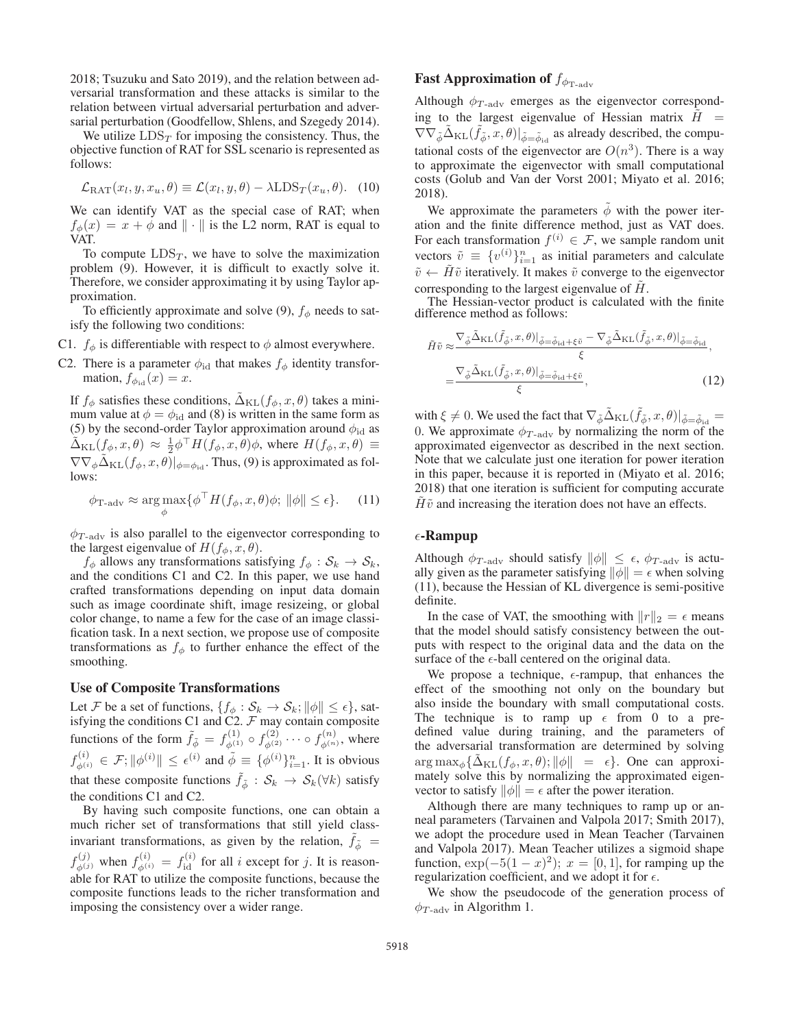2018; Tsuzuku and Sato 2019), and the relation between adversarial transformation and these attacks is similar to the relation between virtual adversarial perturbation and adversarial perturbation (Goodfellow, Shlens, and Szegedy 2014).

We utilize  $LDS_T$  for imposing the consistency. Thus, the objective function of RAT for SSL scenario is represented as follows:

$$
\mathcal{L}_{\text{RAT}}(x_l, y, x_u, \theta) \equiv \mathcal{L}(x_l, y, \theta) - \lambda \text{LDS}_T(x_u, \theta). \quad (10)
$$

We can identify VAT as the special case of RAT; when  $f_{\phi}(x) = x + \phi$  and  $\|\cdot\|$  is the L2 norm, RAT is equal to VAT.

To compute  $LDS_T$ , we have to solve the maximization problem (9). However, it is difficult to exactly solve it. Therefore, we consider approximating it by using Taylor approximation.

To efficiently approximate and solve (9),  $f_{\phi}$  needs to satisfy the following two conditions:

C1.  $f_{\phi}$  is differentiable with respect to  $\phi$  almost everywhere.

C2. There is a parameter  $\phi_{\text{id}}$  that makes  $f_{\phi}$  identity transformation,  $f_{\phi_{\text{id}}}(x) = x$ .

If  $f_{\phi}$  satisfies these conditions,  $\tilde{\Delta}_{\text{KL}}(f_{\phi}, x, \theta)$  takes a minimum value at  $\phi = \phi_{\text{id}}$  and (8) is written in the same form as (5) by the second-order Taylor approximation around  $\phi_{\rm id}$  as  $\tilde{\Delta}_{\text{KL}}(f_{\phi}, x, \theta) \approx \frac{1}{2} \phi^{\top} H(f_{\phi}, x, \theta) \phi$ , where  $H(f_{\phi}, x, \theta) \equiv$  $\nabla \nabla_{\phi} \tilde{\Delta}_{\text{KL}}(f_{\phi}, x, \theta)|_{\phi = \phi_{\text{id}}}$ . Thus, (9) is approximated as follows:

$$
\phi_{\text{T-adv}} \approx \underset{\phi}{\arg\max} \{ \phi^{\top} H(f_{\phi}, x, \theta)\phi; \|\phi\| \le \epsilon \}. \tag{11}
$$

 $\phi_{T\text{-adv}}$  is also parallel to the eigenvector corresponding to the largest eigenvalue of  $H(f_{\phi}, x, \theta)$ .

 $f_{\phi}$  allows any transformations satisfying  $f_{\phi}: \mathcal{S}_k \to \mathcal{S}_k$ , and the conditions C1 and C2. In this paper, we use hand crafted transformations depending on input data domain such as image coordinate shift, image resizeing, or global color change, to name a few for the case of an image classification task. In a next section, we propose use of composite transformations as  $f_{\phi}$  to further enhance the effect of the smoothing.

## Use of Composite Transformations

Let F be a set of functions,  $\{f_{\phi}: S_k \to S_k; ||\phi|| \leq \epsilon\}$ , satisfying the conditions C1 and C2. F may contain composite isfying the conditions C1 and C2.  $\mathcal F$  may contain composite functions of the form  $\tilde{f}_{\tilde{\phi}} = f_{\phi^{(1)}}^{(1)} \circ f_{\phi^{(2)}}^{(2)} \cdots \circ f_{\phi^{(n)}}^{(n)}$ , where  $f_{\phi^{(i)}}^{(i)} \in \mathcal{F}$ ;  $\|\phi^{(i)}\| \leq \epsilon^{(i)}$  and  $\tilde{\phi} \equiv {\{\phi^{(i)}\}}_{i=1}^n$ . It is obvious that these composite functions  $\tilde{f}_{\tilde{\phi}} : \mathcal{S}_k \to \mathcal{S}_k(\forall k)$  satisfy the conditions C1 and C2.

By having such composite functions, one can obtain a much richer set of transformations that still yield classinvariant transformations, as given by the relation,  $f_{\tilde{\phi}} =$  $f_{\phi^{(j)}}^{(j)}$  when  $f_{\phi^{(i)}}^{(i)} = f_{id}^{(i)}$  for all *i* except for *j*. It is reason-<br>able for **PAT** to utilize the composite functions, because the able for RAT to utilize the composite functions, because the composite functions leads to the richer transformation and imposing the consistency over a wider range.

# **Fast Approximation of**  $f_{\phi_{\text{T-adv}}}$

Although  $\phi_{T-adv}$  emerges as the eigenvector corresponding to the largest eigenvalue of Hessian matrix  $H =$  $\nabla \nabla_{\tilde{\phi}} \tilde{\Delta}_{\text{KL}}(\tilde{f}_{\tilde{\phi}}, x, \theta)|_{\tilde{\phi} = \tilde{\phi}_{\text{id}}}$  as already described, the computational costs of the eigenvector are  $O(n^3)$ . There is a way to approximate the eigenvector with small computational costs (Golub and Van der Vorst 2001; Miyato et al. 2016; 2018).

We approximate the parameters  $\phi$  with the power iteration and the finite difference method, just as VAT does. For each transformation  $f^{(i)} \in \mathcal{F}$ , we sample random unit vectors  $\tilde{v} \equiv \{v^{(i)}\}_{i=1}^n$  as initial parameters and calculate  $\tilde{v} \leftarrow \tilde{H} \tilde{v}$  iteratively. It makes  $\tilde{v}$  converge to the eigenvector corresponding to the largest eigenvalue of  $H$ .

The Hessian-vector product is calculated with the finite difference method as follows:

$$
\tilde{H}\tilde{v} \approx \frac{\nabla_{\tilde{\phi}}\tilde{\Delta}_{\text{KL}}(\tilde{f}_{\tilde{\phi}},x,\theta)|_{\tilde{\phi}=\tilde{\phi}_{\text{id}}+\xi\tilde{v}} - \nabla_{\tilde{\phi}}\tilde{\Delta}_{\text{KL}}(\tilde{f}_{\tilde{\phi}},x,\theta)|_{\tilde{\phi}=\tilde{\phi}_{\text{id}}}}{\xi},
$$
\n
$$
= \frac{\nabla_{\tilde{\phi}}\tilde{\Delta}_{\text{KL}}(\tilde{f}_{\tilde{\phi}},x,\theta)|_{\tilde{\phi}=\tilde{\phi}_{\text{id}}+\xi\tilde{v}}}{\xi},
$$
\n(12)

with  $\xi \neq 0$ . We used the fact that  $\nabla_{\tilde{\phi}} \tilde{\Delta}_{\text{KL}}(\tilde{f}_{\tilde{\phi}}, x, \theta)|_{\tilde{\phi} = \tilde{\phi}_{\text{id}}} = 0$ . We approximate  $\phi_{\text{KL}}$ , by pormalizing the porm of the 0. We approximate  $\phi_{T-\text{adv}}$  by normalizing the norm of the approximated eigenvector as described in the next section. Note that we calculate just one iteration for power iteration in this paper, because it is reported in (Miyato et al. 2016; 2018) that one iteration is sufficient for computing accurate  $H\tilde{v}$  and increasing the iteration does not have an effects.

# $\epsilon$ -Rampup

Although  $\phi_{T\text{-adv}}$  should satisfy  $\|\phi\| \leq \epsilon$ ,  $\phi_{T\text{-adv}}$  is actually given as the parameter satisfying  $\|\phi\| = \epsilon$  when solving (11) because the Hessian of KL divergence is semi-positive (11), because the Hessian of KL divergence is semi-positive definite.

In the case of VAT, the smoothing with  $||r||_2 = \epsilon$  means<br>at the model should satisfy consistency between the outthat the model should satisfy consistency between the outputs with respect to the original data and the data on the surface of the  $\epsilon$ -ball centered on the original data.

We propose a technique,  $\epsilon$ -rampup, that enhances the effect of the smoothing not only on the boundary but also inside the boundary with small computational costs. The technique is to ramp up  $\epsilon$  from 0 to a predefined value during training, and the parameters of the adversarial transformation are determined by solving  $\arg \max_{\phi} {\{\tilde{\Delta}_{\text{KL}}(f_{\phi}, x, \theta); ||\phi|| = \epsilon\}}$ . One can approximately solve this by normalizing the approximated eigenmately solve this by normalizing the approximated eigenvector to satisfy  $\|\phi\| = \epsilon$  after the power iteration.<br>Although there are many techniques to rann.

Although there are many techniques to ramp up or anneal parameters (Tarvainen and Valpola 2017; Smith 2017), we adopt the procedure used in Mean Teacher (Tarvainen and Valpola 2017). Mean Teacher utilizes a sigmoid shape function,  $\exp(-5(1-x)^2)$ ;  $x = [0, 1]$ , for ramping up the regularization coefficient, and we adopt it for  $\epsilon$ .

We show the pseudocode of the generation process of  $\phi_{T\text{-adv}}$  in Algorithm 1.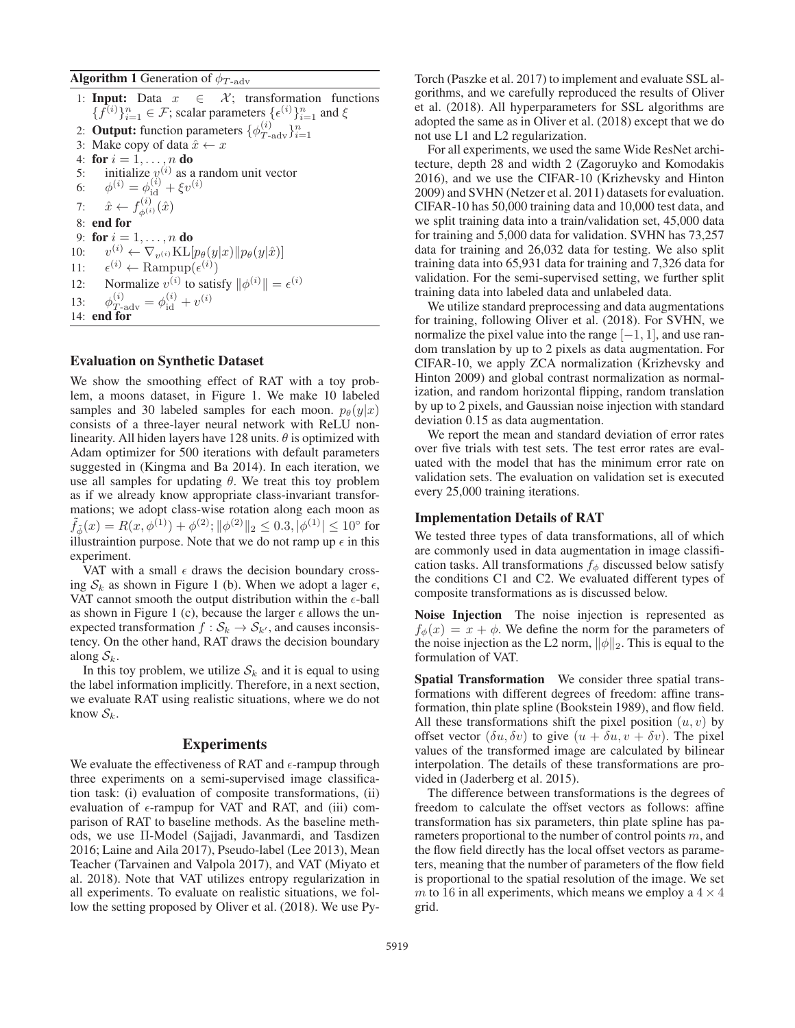**Algorithm 1** Generation of  $\phi_{T\text{-adv}}$ 

|     | 1: <b>Input:</b> Data $x \in \mathcal{X}$ ; transformation functions                                   |
|-----|--------------------------------------------------------------------------------------------------------|
|     | $\{\hat{f}^{(i)}\}_{i=1}^n \in \mathcal{F}$ ; scalar parameters $\{\epsilon^{(i)}\}_{i=1}^n$ and $\xi$ |
|     | 2: <b>Output:</b> function parameters $\{\phi_{T \text{adv}}^{(i)}\}_{i=1}^n$                          |
|     | 3: Make copy of data $\hat{x} \leftarrow x$                                                            |
|     | 4: for $i = 1, , n$ do                                                                                 |
|     |                                                                                                        |
|     | 5: initialize $v^{(i)}$ as a random unit vector<br>6: $\phi^{(i)} = \phi^{(i)}_{id} + \xi v^{(i)}$     |
|     | 7: $\hat{x} \leftarrow f_{\phi^{(i)}}^{(i)}(\hat{x})$                                                  |
|     | 8: end for                                                                                             |
|     | 9: for $i = 1, , n$ do                                                                                 |
|     | 10: $v^{(i)} \leftarrow \nabla_{v^{(i)}} \text{KL}[p_{\theta}(y x) \  p_{\theta}(y \hat{x})]$          |
|     | 11: $\epsilon^{(i)} \leftarrow \text{Rampup}(\epsilon^{(i)})$                                          |
|     | 12: Normalize $v^{(i)}$ to satisfy $\ \phi^{(i)}\  = \epsilon^{(i)}$                                   |
| 13: | $\phi_{T_{-} \text{adv}}^{(i)} = \phi_{:}^{(i)} + v^{(i)}$                                             |
|     | 14: end for                                                                                            |

## Evaluation on Synthetic Dataset

We show the smoothing effect of RAT with a toy problem, a moons dataset, in Figure 1. We make 10 labeled samples and 30 labeled samples for each moon.  $p_{\theta}(y|x)$ consists of a three-layer neural network with ReLU nonlinearity. All hiden layers have 128 units.  $\theta$  is optimized with Adam optimizer for 500 iterations with default parameters suggested in (Kingma and Ba 2014). In each iteration, we use all samples for updating  $\theta$ . We treat this toy problem as if we already know appropriate class-invariant transformations; we adopt class-wise rotation along each moon as  $\tilde{f}_{\tilde{\phi}}(x) = R(x, \phi^{(1)}) + \phi^{(2)}; ||\phi^{(2)}||_2 \leq 0.3, |\phi^{(1)}| \leq 10^{\circ}$  for illustraintion purpose. Note that we do not ramp up  $\epsilon$  in this experiment.

VAT with a small  $\epsilon$  draws the decision boundary crossing  $S_k$  as shown in Figure 1 (b). When we adopt a lager  $\epsilon$ , VAT cannot smooth the output distribution within the  $\epsilon$ -ball as shown in Figure 1 (c), because the larger  $\epsilon$  allows the unexpected transformation  $f : S_k \to S_{k'}$ , and causes inconsistency. On the other hand, RAT draws the decision boundary tency. On the other hand, RAT draws the decision boundary along  $S_k$ .

In this toy problem, we utilize  $S_k$  and it is equal to using the label information implicitly. Therefore, in a next section, we evaluate RAT using realistic situations, where we do not know  $S_k$ .

## Experiments

We evaluate the effectiveness of RAT and  $\epsilon$ -rampup through three experiments on a semi-supervised image classification task: (i) evaluation of composite transformations, (ii) evaluation of  $\epsilon$ -rampup for VAT and RAT, and (iii) comparison of RAT to baseline methods. As the baseline methods, we use Π-Model (Sajjadi, Javanmardi, and Tasdizen 2016; Laine and Aila 2017), Pseudo-label (Lee 2013), Mean Teacher (Tarvainen and Valpola 2017), and VAT (Miyato et al. 2018). Note that VAT utilizes entropy regularization in all experiments. To evaluate on realistic situations, we follow the setting proposed by Oliver et al. (2018). We use Py-

Torch (Paszke et al. 2017) to implement and evaluate SSL algorithms, and we carefully reproduced the results of Oliver et al. (2018). All hyperparameters for SSL algorithms are adopted the same as in Oliver et al. (2018) except that we do not use L1 and L2 regularization.

For all experiments, we used the same Wide ResNet architecture, depth 28 and width 2 (Zagoruyko and Komodakis 2016), and we use the CIFAR-10 (Krizhevsky and Hinton 2009) and SVHN (Netzer et al. 2011) datasets for evaluation. CIFAR-10 has 50,000 training data and 10,000 test data, and we split training data into a train/validation set, 45,000 data for training and 5,000 data for validation. SVHN has 73,257 data for training and 26,032 data for testing. We also split training data into 65,931 data for training and 7,326 data for validation. For the semi-supervised setting, we further split training data into labeled data and unlabeled data.

We utilize standard preprocessing and data augmentations for training, following Oliver et al. (2018). For SVHN, we normalize the pixel value into the range  $[-1, 1]$ , and use random translation by up to 2 pixels as data augmentation. For CIFAR-10, we apply ZCA normalization (Krizhevsky and Hinton 2009) and global contrast normalization as normalization, and random horizontal flipping, random translation by up to 2 pixels, and Gaussian noise injection with standard deviation 0.15 as data augmentation.

We report the mean and standard deviation of error rates over five trials with test sets. The test error rates are evaluated with the model that has the minimum error rate on validation sets. The evaluation on validation set is executed every 25,000 training iterations.

## Implementation Details of RAT

We tested three types of data transformations, all of which are commonly used in data augmentation in image classification tasks. All transformations  $f_{\phi}$  discussed below satisfy the conditions C1 and C2. We evaluated different types of composite transformations as is discussed below.

Noise Injection The noise injection is represented as  $f_{\phi}(x) = x + \phi$ . We define the norm for the parameters of the noise injection as the L2 norm,  $\|\phi\|_2$ . This is equal to the formulation of VAT.

Spatial Transformation We consider three spatial transformations with different degrees of freedom: affine transformation, thin plate spline (Bookstein 1989), and flow field. All these transformations shift the pixel position  $(u, v)$  by offset vector  $(\delta u, \delta v)$  to give  $(u + \delta u, v + \delta v)$ . The pixel values of the transformed image are calculated by bilinear interpolation. The details of these transformations are provided in (Jaderberg et al. 2015).

The difference between transformations is the degrees of freedom to calculate the offset vectors as follows: affine transformation has six parameters, thin plate spline has parameters proportional to the number of control points m, and the flow field directly has the local offset vectors as parameters, meaning that the number of parameters of the flow field is proportional to the spatial resolution of the image. We set m to 16 in all experiments, which means we employ a  $4 \times 4$ grid.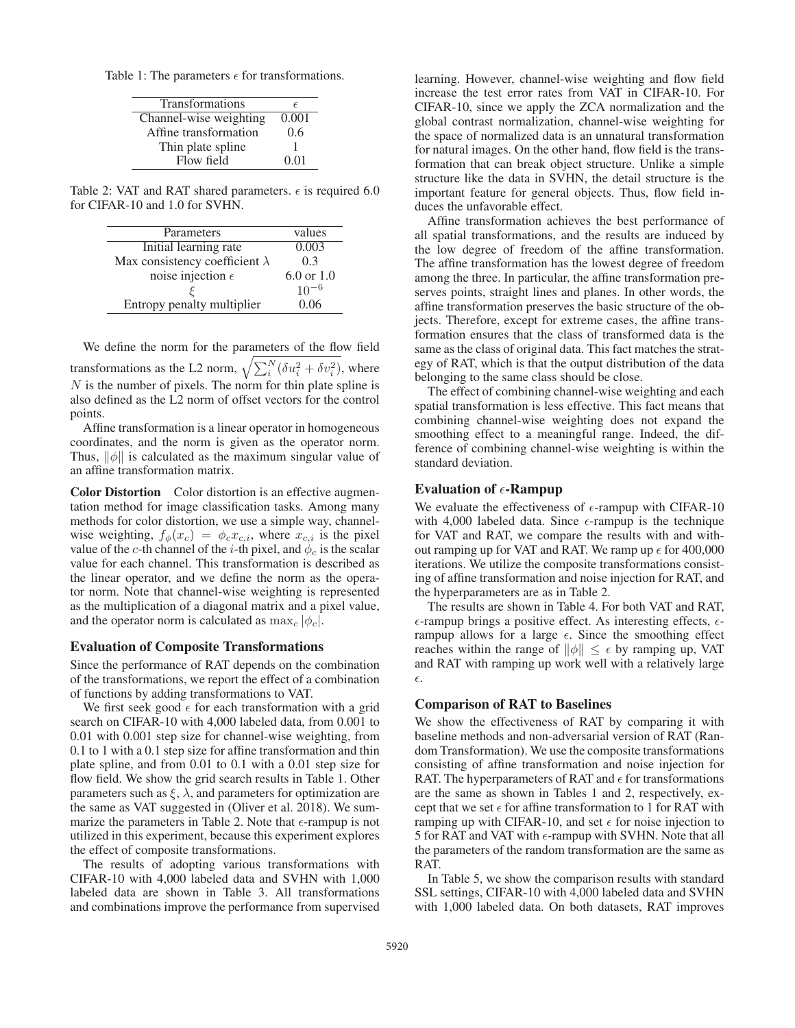Table 1: The parameters  $\epsilon$  for transformations.

| <b>Transformations</b> | F     |
|------------------------|-------|
| Channel-wise weighting | 0.001 |
| Affine transformation  | 0.6   |
| Thin plate spline      |       |
| Flow field             | 0.01  |

Table 2: VAT and RAT shared parameters.  $\epsilon$  is required 6.0 for CIFAR-10 and 1.0 for SVHN.

| Parameters                            | values                |
|---------------------------------------|-----------------------|
| Initial learning rate                 | 0.003                 |
| Max consistency coefficient $\lambda$ | 0.3                   |
| noise injection $\epsilon$            | $6.0 \text{ or } 1.0$ |
|                                       | $10^{-6}$             |
| Entropy penalty multiplier            | 0.06                  |

We define the norm for the parameters of the flow field transformations as the L2 norm,  $\sqrt{\sum_i^N (\delta u_i^2 + \delta v_i^2)}$ , where  $N$  is the number of pixels. The norm for thin plate spline is also defined as the L2 norm of offset vectors for the control points.

Affine transformation is a linear operator in homogeneous coordinates, and the norm is given as the operator norm. Thus,  $\|\phi\|$  is calculated as the maximum singular value of an affine transformation matrix.

Color Distortion Color distortion is an effective augmentation method for image classification tasks. Among many methods for color distortion, we use a simple way, channelwise weighting,  $f_{\phi}(x_c) = \phi_c x_{c,i}$ , where  $x_{c,i}$  is the pixel value of the c-th channel of the *i*-th pixel, and  $\phi_c$  is the scalar value for each channel. This transformation is described as the linear operator, and we define the norm as the operator norm. Note that channel-wise weighting is represented as the multiplication of a diagonal matrix and a pixel value, and the operator norm is calculated as  $\max_c |\phi_c|$ .

#### Evaluation of Composite Transformations

Since the performance of RAT depends on the combination of the transformations, we report the effect of a combination of functions by adding transformations to VAT.

We first seek good  $\epsilon$  for each transformation with a grid search on CIFAR-10 with 4,000 labeled data, from 0.001 to 0.01 with 0.001 step size for channel-wise weighting, from 0.1 to 1 with a 0.1 step size for affine transformation and thin plate spline, and from 0.01 to 0.1 with a 0.01 step size for flow field. We show the grid search results in Table 1. Other parameters such as  $\xi$ ,  $\lambda$ , and parameters for optimization are the same as VAT suggested in (Oliver et al. 2018). We summarize the parameters in Table 2. Note that  $\epsilon$ -rampup is not utilized in this experiment, because this experiment explores the effect of composite transformations.

The results of adopting various transformations with CIFAR-10 with 4,000 labeled data and SVHN with 1,000 labeled data are shown in Table 3. All transformations and combinations improve the performance from supervised learning. However, channel-wise weighting and flow field increase the test error rates from VAT in CIFAR-10. For CIFAR-10, since we apply the ZCA normalization and the global contrast normalization, channel-wise weighting for the space of normalized data is an unnatural transformation for natural images. On the other hand, flow field is the transformation that can break object structure. Unlike a simple structure like the data in SVHN, the detail structure is the important feature for general objects. Thus, flow field induces the unfavorable effect.

Affine transformation achieves the best performance of all spatial transformations, and the results are induced by the low degree of freedom of the affine transformation. The affine transformation has the lowest degree of freedom among the three. In particular, the affine transformation preserves points, straight lines and planes. In other words, the affine transformation preserves the basic structure of the objects. Therefore, except for extreme cases, the affine transformation ensures that the class of transformed data is the same as the class of original data. This fact matches the strategy of RAT, which is that the output distribution of the data belonging to the same class should be close.

The effect of combining channel-wise weighting and each spatial transformation is less effective. This fact means that combining channel-wise weighting does not expand the smoothing effect to a meaningful range. Indeed, the difference of combining channel-wise weighting is within the standard deviation.

# Evaluation of  $\epsilon$ -Rampup

We evaluate the effectiveness of  $\epsilon$ -rampup with CIFAR-10 with 4,000 labeled data. Since  $\epsilon$ -rampup is the technique for VAT and RAT, we compare the results with and without ramping up for VAT and RAT. We ramp up  $\epsilon$  for 400,000 iterations. We utilize the composite transformations consisting of affine transformation and noise injection for RAT, and the hyperparameters are as in Table 2.

The results are shown in Table 4. For both VAT and RAT,  $\epsilon$ -rampup brings a positive effect. As interesting effects,  $\epsilon$ rampup allows for a large  $\epsilon$ . Since the smoothing effect reaches within the range of  $\|\phi\| \leq \epsilon$  by ramping up, VAT and RAT with ramping up work well with a relatively large  $\epsilon$ .

## Comparison of RAT to Baselines

We show the effectiveness of RAT by comparing it with baseline methods and non-adversarial version of RAT (Random Transformation). We use the composite transformations consisting of affine transformation and noise injection for RAT. The hyperparameters of RAT and  $\epsilon$  for transformations are the same as shown in Tables 1 and 2, respectively, except that we set  $\epsilon$  for affine transformation to 1 for RAT with ramping up with CIFAR-10, and set  $\epsilon$  for noise injection to 5 for RAT and VAT with  $\epsilon$ -rampup with SVHN. Note that all the parameters of the random transformation are the same as RAT.

In Table 5, we show the comparison results with standard SSL settings, CIFAR-10 with 4,000 labeled data and SVHN with 1,000 labeled data. On both datasets, RAT improves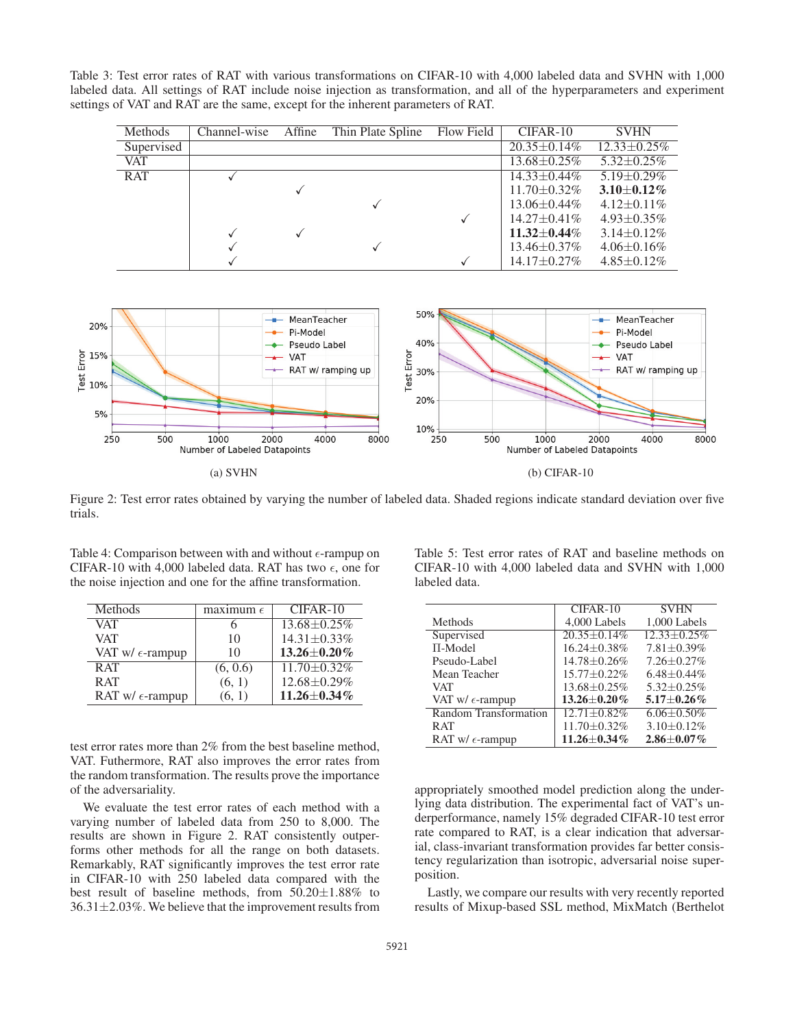Table 3: Test error rates of RAT with various transformations on CIFAR-10 with 4,000 labeled data and SVHN with 1,000 labeled data. All settings of RAT include noise injection as transformation, and all of the hyperparameters and experiment settings of VAT and RAT are the same, except for the inherent parameters of RAT.

| Methods    | Channel-wise | Affine | Thin Plate Spline | Flow Field | $CIFAR-10$         | <b>SVHN</b>        |
|------------|--------------|--------|-------------------|------------|--------------------|--------------------|
| Supervised |              |        |                   |            | $20.35 \pm 0.14\%$ | $12.33 \pm 0.25\%$ |
| <b>VAT</b> |              |        |                   |            | $13.68 \pm 0.25\%$ | $5.32 + 0.25\%$    |
| <b>RAT</b> |              |        |                   |            | $14.33 \pm 0.44\%$ | $5.19 \pm 0.29\%$  |
|            |              |        |                   |            | $11.70 + 0.32\%$   | $3.10 + 0.12\%$    |
|            |              |        |                   |            | $13.06 \pm 0.44\%$ | $4.12\pm0.11\%$    |
|            |              |        |                   |            | $14.27 + 0.41\%$   | $4.93 \pm 0.35\%$  |
|            |              |        |                   |            | $11.32 + 0.44\%$   | $3.14 + 0.12\%$    |
|            |              |        |                   |            | $13.46 \pm 0.37\%$ | $4.06 \pm 0.16\%$  |
|            |              |        |                   |            | $14.17 \pm 0.27\%$ | $4.85 \pm 0.12\%$  |



Figure 2: Test error rates obtained by varying the number of labeled data. Shaded regions indicate standard deviation over five trials.

Table 4: Comparison between with and without  $\epsilon$ -rampup on CIFAR-10 with 4,000 labeled data. RAT has two  $\epsilon$ , one for the noise injection and one for the affine transformation.

| Methods                   | maximum $\epsilon$ | $CIFAR-10$         |
|---------------------------|--------------------|--------------------|
| VAT                       |                    | $13.68 + 0.25\%$   |
| <b>VAT</b>                | 10                 | $14.31 + 0.33\%$   |
| VAT w/ $\epsilon$ -rampup | 10                 | $13.26 \pm 0.20\%$ |
| R AT                      | (6, 0.6)           | $11.70 + 0.32\%$   |
| R AT                      | (6, 1)             | 12.68±0.29%        |
| RAT w/ $\epsilon$ -rampup | (6, 1)             | $11.26 \pm 0.34\%$ |

test error rates more than 2% from the best baseline method, VAT. Futhermore, RAT also improves the error rates from the random transformation. The results prove the importance of the adversariality.

We evaluate the test error rates of each method with a varying number of labeled data from 250 to 8,000. The results are shown in Figure 2. RAT consistently outperforms other methods for all the range on both datasets. Remarkably, RAT significantly improves the test error rate in CIFAR-10 with 250 labeled data compared with the best result of baseline methods, from  $50.20 \pm 1.88\%$  to  $36.31 \pm 2.03\%$ . We believe that the improvement results from

|                           | $CIFAR-10$         | <b>SVHN</b>       |
|---------------------------|--------------------|-------------------|
| Methods                   | 4,000 Labels       | 1,000 Labels      |
| Supervised                | $20.35 + 0.14\%$   | 12.33±0.25%       |
| $\Pi$ -Model              | 16.24±0.38%        | $7.81 \pm 0.39\%$ |
| Pseudo-Label              | 14.78±0.26%        | $7.26 \pm 0.27\%$ |
| Mean Teacher              | 15.77±0.22%        | $6.48 \pm 0.44\%$ |
| <b>VAT</b>                | 13.68±0.25%        | $5.32 \pm 0.25\%$ |
| VAT w/ $\epsilon$ -rampup | $13.26 \pm 0.20\%$ | $5.17 \pm 0.26\%$ |
| Random Transformation     | 12.71±0.82%        | $6.06 \pm 0.50\%$ |
| R AT                      | 11.70 ± 0.32%      | $3.10 \pm 0.12\%$ |
| RAT w/ $\epsilon$ -rampup | $11.26 \pm 0.34\%$ | $2.86 \pm 0.07\%$ |

appropriately smoothed model prediction along the underlying data distribution. The experimental fact of VAT's underperformance, namely 15% degraded CIFAR-10 test error rate compared to RAT, is a clear indication that adversarial, class-invariant transformation provides far better consistency regularization than isotropic, adversarial noise superposition.

Lastly, we compare our results with very recently reported results of Mixup-based SSL method, MixMatch (Berthelot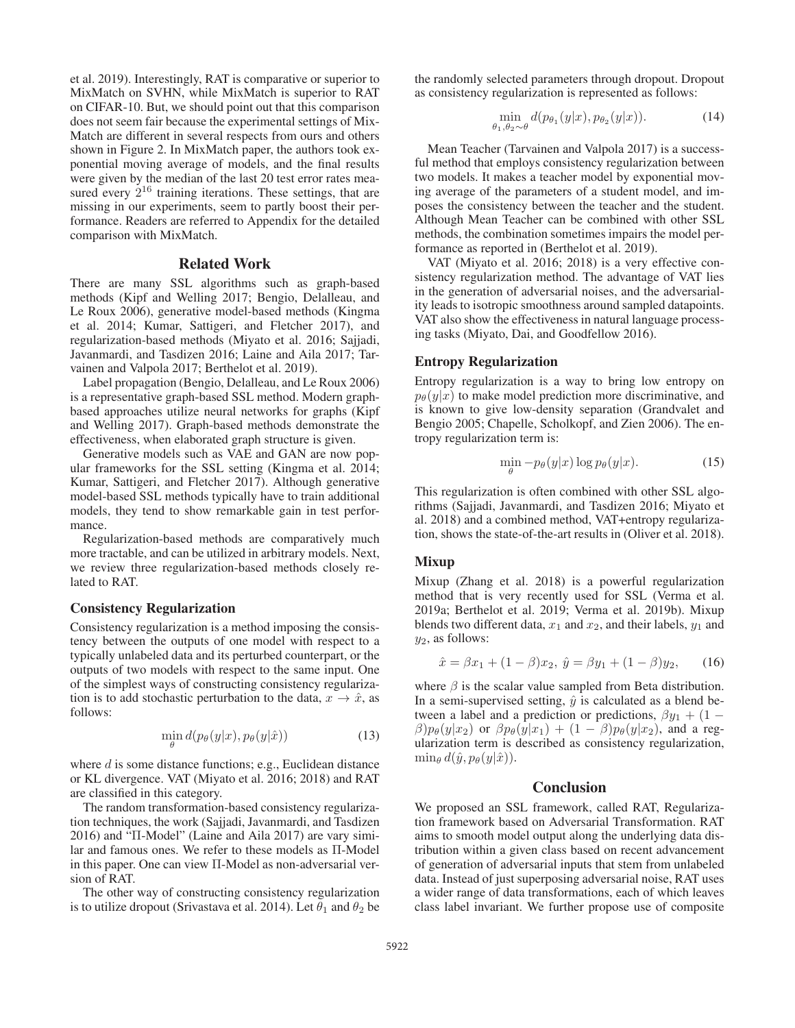et al. 2019). Interestingly, RAT is comparative or superior to MixMatch on SVHN, while MixMatch is superior to RAT on CIFAR-10. But, we should point out that this comparison does not seem fair because the experimental settings of Mix-Match are different in several respects from ours and others shown in Figure 2. In MixMatch paper, the authors took exponential moving average of models, and the final results were given by the median of the last 20 test error rates measured every  $2^{16}$  training iterations. These settings, that are missing in our experiments, seem to partly boost their performance. Readers are referred to Appendix for the detailed comparison with MixMatch.

## Related Work

There are many SSL algorithms such as graph-based methods (Kipf and Welling 2017; Bengio, Delalleau, and Le Roux 2006), generative model-based methods (Kingma et al. 2014; Kumar, Sattigeri, and Fletcher 2017), and regularization-based methods (Miyato et al. 2016; Sajjadi, Javanmardi, and Tasdizen 2016; Laine and Aila 2017; Tarvainen and Valpola 2017; Berthelot et al. 2019).

Label propagation (Bengio, Delalleau, and Le Roux 2006) is a representative graph-based SSL method. Modern graphbased approaches utilize neural networks for graphs (Kipf and Welling 2017). Graph-based methods demonstrate the effectiveness, when elaborated graph structure is given.

Generative models such as VAE and GAN are now popular frameworks for the SSL setting (Kingma et al. 2014; Kumar, Sattigeri, and Fletcher 2017). Although generative model-based SSL methods typically have to train additional models, they tend to show remarkable gain in test performance.

Regularization-based methods are comparatively much more tractable, and can be utilized in arbitrary models. Next, we review three regularization-based methods closely related to RAT.

#### Consistency Regularization

Consistency regularization is a method imposing the consistency between the outputs of one model with respect to a typically unlabeled data and its perturbed counterpart, or the outputs of two models with respect to the same input. One of the simplest ways of constructing consistency regularization is to add stochastic perturbation to the data,  $x \to \hat{x}$ , as follows:

$$
\min_{\theta} d(p_{\theta}(y|x), p_{\theta}(y|\hat{x})) \tag{13}
$$

where  $d$  is some distance functions; e.g., Euclidean distance or KL divergence. VAT (Miyato et al. 2016; 2018) and RAT are classified in this category.

The random transformation-based consistency regularization techniques, the work (Sajjadi, Javanmardi, and Tasdizen 2016) and "Π-Model" (Laine and Aila 2017) are vary similar and famous ones. We refer to these models as Π-Model in this paper. One can view Π-Model as non-adversarial version of RAT.

The other way of constructing consistency regularization is to utilize dropout (Srivastava et al. 2014). Let  $\theta_1$  and  $\theta_2$  be

the randomly selected parameters through dropout. Dropout as consistency regularization is represented as follows:

$$
\min_{\theta_1, \theta_2 \sim \theta} d(p_{\theta_1}(y|x), p_{\theta_2}(y|x)). \tag{14}
$$

Mean Teacher (Tarvainen and Valpola 2017) is a successful method that employs consistency regularization between two models. It makes a teacher model by exponential moving average of the parameters of a student model, and imposes the consistency between the teacher and the student. Although Mean Teacher can be combined with other SSL methods, the combination sometimes impairs the model performance as reported in (Berthelot et al. 2019).

VAT (Miyato et al. 2016; 2018) is a very effective consistency regularization method. The advantage of VAT lies in the generation of adversarial noises, and the adversariality leads to isotropic smoothness around sampled datapoints. VAT also show the effectiveness in natural language processing tasks (Miyato, Dai, and Goodfellow 2016).

## Entropy Regularization

Entropy regularization is a way to bring low entropy on  $p_{\theta}(y|x)$  to make model prediction more discriminative, and is known to give low-density separation (Grandvalet and Bengio 2005; Chapelle, Scholkopf, and Zien 2006). The entropy regularization term is:

$$
\min_{\theta} -p_{\theta}(y|x)\log p_{\theta}(y|x). \tag{15}
$$

This regularization is often combined with other SSL algorithms (Sajjadi, Javanmardi, and Tasdizen 2016; Miyato et al. 2018) and a combined method, VAT+entropy regularization, shows the state-of-the-art results in (Oliver et al. 2018).

## Mixup

Mixup (Zhang et al. 2018) is a powerful regularization method that is very recently used for SSL (Verma et al. 2019a; Berthelot et al. 2019; Verma et al. 2019b). Mixup blends two different data,  $x_1$  and  $x_2$ , and their labels,  $y_1$  and  $y_2$ , as follows:

$$
\hat{x} = \beta x_1 + (1 - \beta)x_2, \ \hat{y} = \beta y_1 + (1 - \beta)y_2, \qquad (16)
$$

where  $\beta$  is the scalar value sampled from Beta distribution. In a semi-supervised setting,  $\hat{y}$  is calculated as a blend between a label and a prediction or predictions,  $\beta y_1 + (1 \beta$ ) $p_{\theta}(y|x_2)$  or  $\beta p_{\theta}(y|x_1) + (1 - \beta)p_{\theta}(y|x_2)$ , and a regularization term is described as consistency regularization,  $\min_{\theta} d(\hat{y}, p_{\theta}(y|\hat{x})).$ 

## **Conclusion**

We proposed an SSL framework, called RAT, Regularization framework based on Adversarial Transformation. RAT aims to smooth model output along the underlying data distribution within a given class based on recent advancement of generation of adversarial inputs that stem from unlabeled data. Instead of just superposing adversarial noise, RAT uses a wider range of data transformations, each of which leaves class label invariant. We further propose use of composite